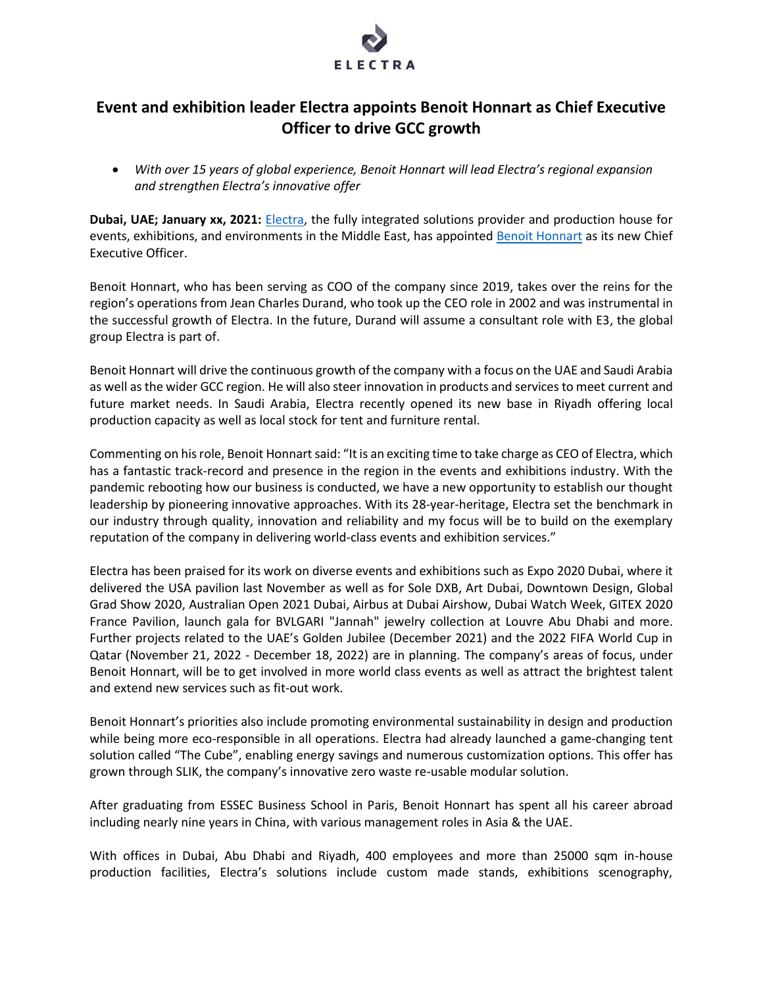

# **Event and exhibition leader Electra appoints Benoit Honnart as Chief Executive Officer to drive GCC growth**

• *With over 15 years of global experience, Benoit Honnart will lead Electra's regional expansion and strengthen Electra's innovative offer*

**Dubai, UAE; January xx, 2021:** [Electra,](https://www.electrasolutions.com/) the fully integrated solutions provider and production house for events, exhibitions, and environments in the Middle East, has appointed **[Benoit Honnart](https://www.linkedin.com/in/benoit-honnart-703a2b1/?originalSubdomain=ae)** as its new Chief Executive Officer.

Benoit Honnart, who has been serving as COO of the company since 2019, takes over the reins for the region's operations from Jean Charles Durand, who took up the CEO role in 2002 and was instrumental in the successful growth of Electra. In the future, Durand will assume a consultant role with E3, the global group Electra is part of.

Benoit Honnart will drive the continuous growth of the company with a focus on the UAE and Saudi Arabia as well as the wider GCC region. He will also steer innovation in products and services to meet current and future market needs. In Saudi Arabia, Electra recently opened its new base in Riyadh offering local production capacity as well as local stock for tent and furniture rental.

Commenting on his role, Benoit Honnart said: "It is an exciting time to take charge as CEO of Electra, which has a fantastic track-record and presence in the region in the events and exhibitions industry. With the pandemic rebooting how our business is conducted, we have a new opportunity to establish our thought leadership by pioneering innovative approaches. With its 28-year-heritage, Electra set the benchmark in our industry through quality, innovation and reliability and my focus will be to build on the exemplary reputation of the company in delivering world-class events and exhibition services."

Electra has been praised for its work on diverse events and exhibitions such as Expo 2020 Dubai, where it delivered the USA pavilion last November as well as for Sole DXB, Art Dubai, Downtown Design, Global Grad Show 2020, Australian Open 2021 Dubai, Airbus at Dubai Airshow, Dubai Watch Week, GITEX 2020 France Pavilion, launch gala for BVLGARI "Jannah" jewelry collection at Louvre Abu Dhabi and more. Further projects related to the UAE's Golden Jubilee (December 2021) and the 2022 FIFA World Cup in Qatar (November 21, 2022 - December 18, 2022) are in planning. The company's areas of focus, under Benoit Honnart, will be to get involved in more world class events as well as attract the brightest talent and extend new services such as fit-out work.

Benoit Honnart's priorities also include promoting environmental sustainability in design and production while being more eco-responsible in all operations. Electra had already launched a game-changing tent solution called "The Cube", enabling energy savings and numerous customization options. This offer has grown through SLIK, the company's innovative zero waste re-usable modular solution.

After graduating from ESSEC Business School in Paris, Benoit Honnart has spent all his career abroad including nearly nine years in China, with various management roles in Asia & the UAE.

With offices in Dubai, Abu Dhabi and Riyadh, 400 employees and more than 25000 sqm in-house production facilities, Electra's solutions include custom made stands, exhibitions scenography,